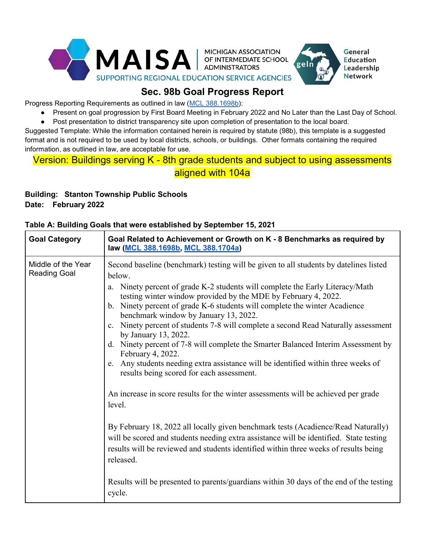

## **Sec. 98b Goal Progress Report**

Progress Reporting Requirements as outlined in law [\(MCL 388.1698b\)](https://legislature.mi.gov/(S(gnjkhui0gmmxno0qfdlmilq2))/mileg.aspx?page=getObject&objectName=mcl-388-1698b):

Present on goal progression by First Board Meeting in February 2022 and No Later than the Last Day of School.

General

**Education** 

Leadership **Network** 

● Post presentation to district transparency site upon completion of presentation to the local board.

Suggested Template: While the information contained herein is required by statute (98b), this template is a suggested format and is not required to be used by local districts, schools, or buildings. Other formats containing the required information, as outlined in law, are acceptable for use.

## Version: Buildings serving K - 8th grade students and subject to using assessments aligned with 104a

## **Building: Stanton Township Public Schools Date: February 2022**

# **Goal Category Goal Related to Achievement or Growth on K - 8 Benchmarks as required by law [\(MCL 388.1698b,](https://legislature.mi.gov/(S(gnjkhui0gmmxno0qfdlmilq2))/mileg.aspx?page=getObject&objectName=mcl-388-1698b) [MCL 388.1704a\)](https://www.legislature.mi.gov/(S(wqrwky4gfqfl25r00raa20il))/mileg.aspx?page=getObject&objectName=mcl-388-1704a)** Middle of the Year Reading Goal Second baseline (benchmark) testing will be given to all students by datelines listed below. a. Ninety percent of grade K-2 students will complete the Early Literacy/Math testing winter window provided by the MDE by February 4, 2022. b. Ninety percent of grade K-6 students will complete the winter Acadience benchmark window by January 13, 2022. c. Ninety percent of students 7-8 will complete a second Read Naturally assessment by January 13, 2022. d. Ninety percent of 7-8 will complete the Smarter Balanced Interim Assessment by February 4, 2022. e. Any students needing extra assistance will be identified within three weeks of results being scored for each assessment. An increase in score results for the winter assessments will be achieved per grade level. By February 18, 2022 all locally given benchmark tests (Acadience/Read Naturally) will be scored and students needing extra assistance will be identified. State testing results will be reviewed and students identified within three weeks of results being released. Results will be presented to parents/guardians within 30 days of the end of the testing cycle.

#### **Table A: Building Goals that were established by September 15, 2021**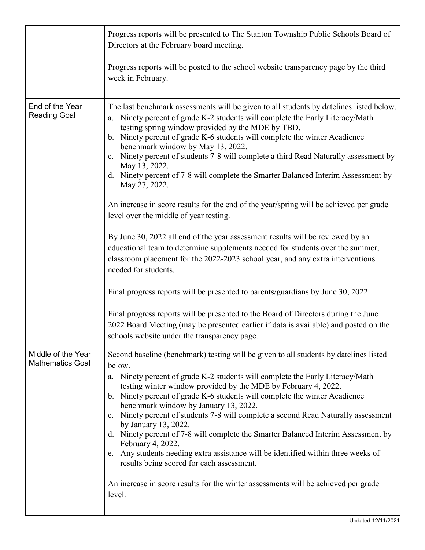|                                               | Progress reports will be presented to The Stanton Township Public Schools Board of<br>Directors at the February board meeting.                                                                                                                                                                                                                                                                                                                                                                                                                                                                                                                                                                                                                                                                                                                                                                                                                                                                                                                                                                                                                                |  |  |  |  |
|-----------------------------------------------|---------------------------------------------------------------------------------------------------------------------------------------------------------------------------------------------------------------------------------------------------------------------------------------------------------------------------------------------------------------------------------------------------------------------------------------------------------------------------------------------------------------------------------------------------------------------------------------------------------------------------------------------------------------------------------------------------------------------------------------------------------------------------------------------------------------------------------------------------------------------------------------------------------------------------------------------------------------------------------------------------------------------------------------------------------------------------------------------------------------------------------------------------------------|--|--|--|--|
|                                               | Progress reports will be posted to the school website transparency page by the third<br>week in February.                                                                                                                                                                                                                                                                                                                                                                                                                                                                                                                                                                                                                                                                                                                                                                                                                                                                                                                                                                                                                                                     |  |  |  |  |
| End of the Year<br><b>Reading Goal</b>        | The last benchmark assessments will be given to all students by datelines listed below.<br>Ninety percent of grade K-2 students will complete the Early Literacy/Math<br>a.<br>testing spring window provided by the MDE by TBD.<br>b. Ninety percent of grade K-6 students will complete the winter Acadience<br>benchmark window by May 13, 2022.<br>c. Ninety percent of students 7-8 will complete a third Read Naturally assessment by<br>May 13, 2022.<br>d. Ninety percent of 7-8 will complete the Smarter Balanced Interim Assessment by<br>May 27, 2022.<br>An increase in score results for the end of the year/spring will be achieved per grade<br>level over the middle of year testing.<br>By June 30, 2022 all end of the year assessment results will be reviewed by an<br>educational team to determine supplements needed for students over the summer,<br>classroom placement for the 2022-2023 school year, and any extra interventions<br>needed for students.<br>Final progress reports will be presented to parents/guardians by June 30, 2022.<br>Final progress reports will be presented to the Board of Directors during the June |  |  |  |  |
|                                               | 2022 Board Meeting (may be presented earlier if data is available) and posted on the<br>schools website under the transparency page.                                                                                                                                                                                                                                                                                                                                                                                                                                                                                                                                                                                                                                                                                                                                                                                                                                                                                                                                                                                                                          |  |  |  |  |
| Middle of the Year<br><b>Mathematics Goal</b> | Second baseline (benchmark) testing will be given to all students by datelines listed<br>below.<br>Ninety percent of grade K-2 students will complete the Early Literacy/Math<br>a.<br>testing winter window provided by the MDE by February 4, 2022.<br>b. Ninety percent of grade K-6 students will complete the winter Acadience<br>benchmark window by January 13, 2022.<br>c. Ninety percent of students 7-8 will complete a second Read Naturally assessment<br>by January 13, 2022.<br>d. Ninety percent of 7-8 will complete the Smarter Balanced Interim Assessment by<br>February 4, 2022.<br>e. Any students needing extra assistance will be identified within three weeks of<br>results being scored for each assessment.<br>An increase in score results for the winter assessments will be achieved per grade<br>level.                                                                                                                                                                                                                                                                                                                        |  |  |  |  |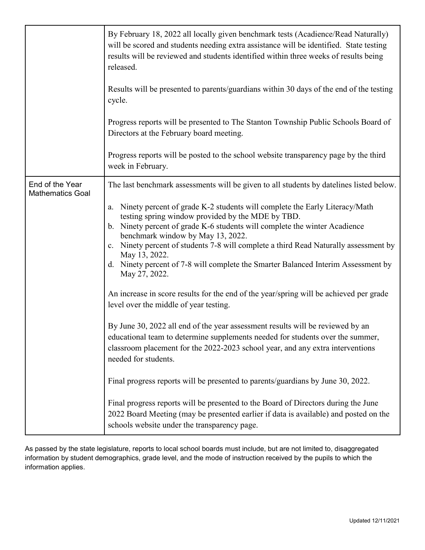|                                            | By February 18, 2022 all locally given benchmark tests (Acadience/Read Naturally)<br>will be scored and students needing extra assistance will be identified. State testing<br>results will be reviewed and students identified within three weeks of results being<br>released.<br>Results will be presented to parents/guardians within 30 days of the end of the testing<br>cycle.<br>Progress reports will be presented to The Stanton Township Public Schools Board of<br>Directors at the February board meeting.<br>Progress reports will be posted to the school website transparency page by the third<br>week in February.                                                                                                                                                                                                                                                                                                                                                                                                                                                                                                                                                                                                                                                                  |
|--------------------------------------------|-------------------------------------------------------------------------------------------------------------------------------------------------------------------------------------------------------------------------------------------------------------------------------------------------------------------------------------------------------------------------------------------------------------------------------------------------------------------------------------------------------------------------------------------------------------------------------------------------------------------------------------------------------------------------------------------------------------------------------------------------------------------------------------------------------------------------------------------------------------------------------------------------------------------------------------------------------------------------------------------------------------------------------------------------------------------------------------------------------------------------------------------------------------------------------------------------------------------------------------------------------------------------------------------------------|
| End of the Year<br><b>Mathematics Goal</b> | The last benchmark assessments will be given to all students by datelines listed below.<br>Ninety percent of grade K-2 students will complete the Early Literacy/Math<br>a.<br>testing spring window provided by the MDE by TBD.<br>b. Ninety percent of grade K-6 students will complete the winter Acadience<br>benchmark window by May 13, 2022.<br>c. Ninety percent of students 7-8 will complete a third Read Naturally assessment by<br>May 13, 2022.<br>d. Ninety percent of 7-8 will complete the Smarter Balanced Interim Assessment by<br>May 27, 2022.<br>An increase in score results for the end of the year/spring will be achieved per grade<br>level over the middle of year testing.<br>By June 30, 2022 all end of the year assessment results will be reviewed by an<br>educational team to determine supplements needed for students over the summer,<br>classroom placement for the 2022-2023 school year, and any extra interventions<br>needed for students.<br>Final progress reports will be presented to parents/guardians by June 30, 2022.<br>Final progress reports will be presented to the Board of Directors during the June<br>2022 Board Meeting (may be presented earlier if data is available) and posted on the<br>schools website under the transparency page. |

As passed by the state legislature, reports to local school boards must include, but are not limited to, disaggregated information by student demographics, grade level, and the mode of instruction received by the pupils to which the information applies.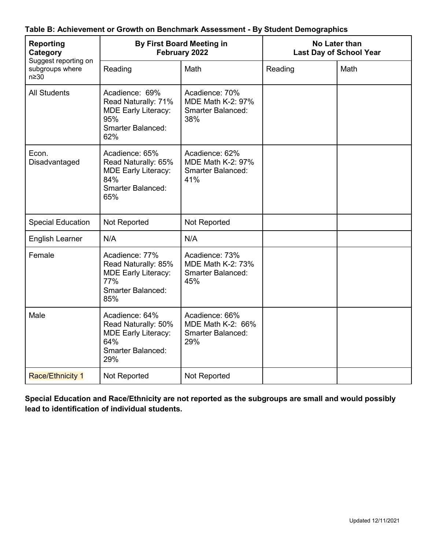| <b>Reporting</b><br>Category<br>Suggest reporting on<br>subgroups where<br>$n \geq 30$ | <b>By First Board Meeting in</b><br>February 2022                                                             |                                                                               | No Later than<br><b>Last Day of School Year</b> |      |
|----------------------------------------------------------------------------------------|---------------------------------------------------------------------------------------------------------------|-------------------------------------------------------------------------------|-------------------------------------------------|------|
|                                                                                        | Reading                                                                                                       | Math                                                                          | Reading                                         | Math |
| <b>All Students</b>                                                                    | Acadience: 69%<br>Read Naturally: 71%<br><b>MDE Early Literacy:</b><br>95%<br>Smarter Balanced:<br>62%        | Acadience: 70%<br><b>MDE Math K-2: 97%</b><br><b>Smarter Balanced:</b><br>38% |                                                 |      |
| Econ.<br>Disadvantaged                                                                 | Acadience: 65%<br>Read Naturally: 65%<br><b>MDE Early Literacy:</b><br>84%<br><b>Smarter Balanced:</b><br>65% | Acadience: 62%<br><b>MDE Math K-2: 97%</b><br><b>Smarter Balanced:</b><br>41% |                                                 |      |
| <b>Special Education</b>                                                               | Not Reported                                                                                                  | Not Reported                                                                  |                                                 |      |
| <b>English Learner</b>                                                                 | N/A                                                                                                           | N/A                                                                           |                                                 |      |
| Female                                                                                 | Acadience: 77%<br>Read Naturally: 85%<br><b>MDE Early Literacy:</b><br>77%<br><b>Smarter Balanced:</b><br>85% | Acadience: 73%<br>MDE Math K-2: 73%<br><b>Smarter Balanced:</b><br>45%        |                                                 |      |
| Male                                                                                   | Acadience: 64%<br>Read Naturally: 50%<br><b>MDE Early Literacy:</b><br>64%<br><b>Smarter Balanced:</b><br>29% | Acadience: 66%<br><b>MDE Math K-2: 66%</b><br><b>Smarter Balanced:</b><br>29% |                                                 |      |
| <b>Race/Ethnicity 1</b>                                                                | Not Reported                                                                                                  | Not Reported                                                                  |                                                 |      |

### **Table B: Achievement or Growth on Benchmark Assessment - By Student Demographics**

**Special Education and Race/Ethnicity are not reported as the subgroups are small and would possibly lead to identification of individual students.**